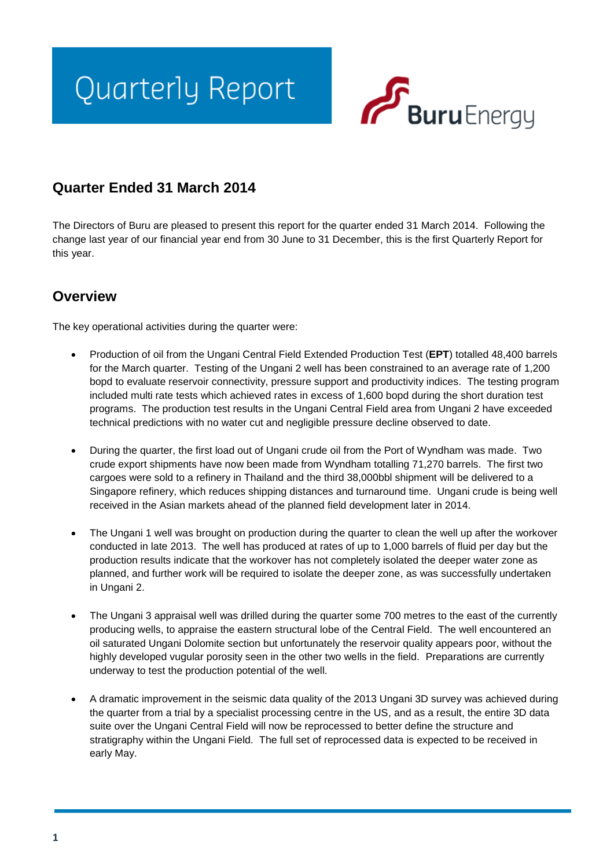# Quarterly Report



## **Quarter Ended 31 March 2014**

The Directors of Buru are pleased to present this report for the quarter ended 31 March 2014. Following the change last year of our financial year end from 30 June to 31 December, this is the first Quarterly Report for this year.

## **Overview**

The key operational activities during the quarter were:

- Production of oil from the Ungani Central Field Extended Production Test (**EPT**) totalled 48,400 barrels for the March quarter. Testing of the Ungani 2 well has been constrained to an average rate of 1,200 bopd to evaluate reservoir connectivity, pressure support and productivity indices. The testing program included multi rate tests which achieved rates in excess of 1,600 bopd during the short duration test programs. The production test results in the Ungani Central Field area from Ungani 2 have exceeded technical predictions with no water cut and negligible pressure decline observed to date.
- During the quarter, the first load out of Ungani crude oil from the Port of Wyndham was made. Two crude export shipments have now been made from Wyndham totalling 71,270 barrels. The first two cargoes were sold to a refinery in Thailand and the third 38,000bbl shipment will be delivered to a Singapore refinery, which reduces shipping distances and turnaround time. Ungani crude is being well received in the Asian markets ahead of the planned field development later in 2014.
- The Ungani 1 well was brought on production during the quarter to clean the well up after the workover conducted in late 2013. The well has produced at rates of up to 1,000 barrels of fluid per day but the production results indicate that the workover has not completely isolated the deeper water zone as planned, and further work will be required to isolate the deeper zone, as was successfully undertaken in Ungani 2.
- The Ungani 3 appraisal well was drilled during the quarter some 700 metres to the east of the currently producing wells, to appraise the eastern structural lobe of the Central Field. The well encountered an oil saturated Ungani Dolomite section but unfortunately the reservoir quality appears poor, without the highly developed vugular porosity seen in the other two wells in the field. Preparations are currently underway to test the production potential of the well.
- A dramatic improvement in the seismic data quality of the 2013 Ungani 3D survey was achieved during the quarter from a trial by a specialist processing centre in the US, and as a result, the entire 3D data suite over the Ungani Central Field will now be reprocessed to better define the structure and stratigraphy within the Ungani Field. The full set of reprocessed data is expected to be received in early May.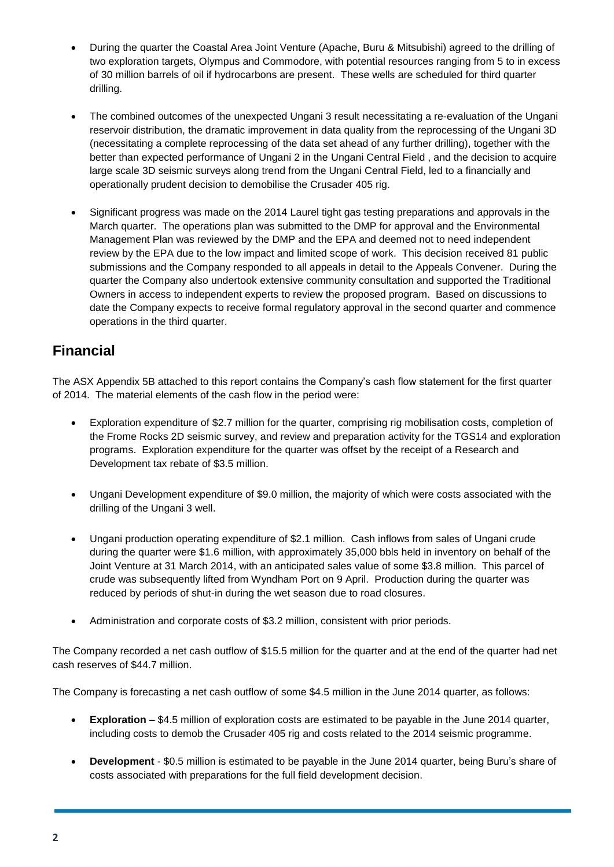- During the quarter the Coastal Area Joint Venture (Apache, Buru & Mitsubishi) agreed to the drilling of two exploration targets, Olympus and Commodore, with potential resources ranging from 5 to in excess of 30 million barrels of oil if hydrocarbons are present. These wells are scheduled for third quarter drilling.
- The combined outcomes of the unexpected Ungani 3 result necessitating a re-evaluation of the Ungani reservoir distribution, the dramatic improvement in data quality from the reprocessing of the Ungani 3D (necessitating a complete reprocessing of the data set ahead of any further drilling), together with the better than expected performance of Ungani 2 in the Ungani Central Field , and the decision to acquire large scale 3D seismic surveys along trend from the Ungani Central Field, led to a financially and operationally prudent decision to demobilise the Crusader 405 rig.
- Significant progress was made on the 2014 Laurel tight gas testing preparations and approvals in the March quarter. The operations plan was submitted to the DMP for approval and the Environmental Management Plan was reviewed by the DMP and the EPA and deemed not to need independent review by the EPA due to the low impact and limited scope of work. This decision received 81 public submissions and the Company responded to all appeals in detail to the Appeals Convener. During the quarter the Company also undertook extensive community consultation and supported the Traditional Owners in access to independent experts to review the proposed program. Based on discussions to date the Company expects to receive formal regulatory approval in the second quarter and commence operations in the third quarter.

## **Financial**

The ASX Appendix 5B attached to this report contains the Company's cash flow statement for the first quarter of 2014. The material elements of the cash flow in the period were:

- Exploration expenditure of \$2.7 million for the quarter, comprising rig mobilisation costs, completion of the Frome Rocks 2D seismic survey, and review and preparation activity for the TGS14 and exploration programs. Exploration expenditure for the quarter was offset by the receipt of a Research and Development tax rebate of \$3.5 million.
- Ungani Development expenditure of \$9.0 million, the majority of which were costs associated with the drilling of the Ungani 3 well.
- Ungani production operating expenditure of \$2.1 million. Cash inflows from sales of Ungani crude during the quarter were \$1.6 million, with approximately 35,000 bbls held in inventory on behalf of the Joint Venture at 31 March 2014, with an anticipated sales value of some \$3.8 million. This parcel of crude was subsequently lifted from Wyndham Port on 9 April. Production during the quarter was reduced by periods of shut-in during the wet season due to road closures.
- Administration and corporate costs of \$3.2 million, consistent with prior periods.

The Company recorded a net cash outflow of \$15.5 million for the quarter and at the end of the quarter had net cash reserves of \$44.7 million.

The Company is forecasting a net cash outflow of some \$4.5 million in the June 2014 quarter, as follows:

- **Exploration** \$4.5 million of exploration costs are estimated to be payable in the June 2014 quarter, including costs to demob the Crusader 405 rig and costs related to the 2014 seismic programme.
- **Development** \$0.5 million is estimated to be payable in the June 2014 quarter, being Buru's share of costs associated with preparations for the full field development decision.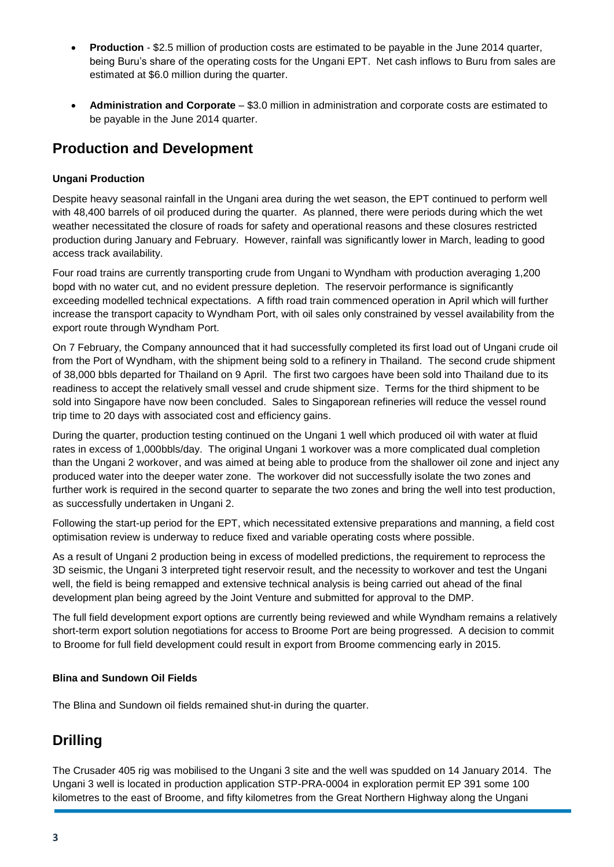- **Production** \$2.5 million of production costs are estimated to be payable in the June 2014 quarter, being Buru's share of the operating costs for the Ungani EPT. Net cash inflows to Buru from sales are estimated at \$6.0 million during the quarter.
- **Administration and Corporate** \$3.0 million in administration and corporate costs are estimated to be payable in the June 2014 quarter.

## **Production and Development**

#### **Ungani Production**

Despite heavy seasonal rainfall in the Ungani area during the wet season, the EPT continued to perform well with 48,400 barrels of oil produced during the quarter. As planned, there were periods during which the wet weather necessitated the closure of roads for safety and operational reasons and these closures restricted production during January and February. However, rainfall was significantly lower in March, leading to good access track availability.

Four road trains are currently transporting crude from Ungani to Wyndham with production averaging 1,200 bopd with no water cut, and no evident pressure depletion. The reservoir performance is significantly exceeding modelled technical expectations. A fifth road train commenced operation in April which will further increase the transport capacity to Wyndham Port, with oil sales only constrained by vessel availability from the export route through Wyndham Port.

On 7 February, the Company announced that it had successfully completed its first load out of Ungani crude oil from the Port of Wyndham, with the shipment being sold to a refinery in Thailand. The second crude shipment of 38,000 bbls departed for Thailand on 9 April. The first two cargoes have been sold into Thailand due to its readiness to accept the relatively small vessel and crude shipment size. Terms for the third shipment to be sold into Singapore have now been concluded. Sales to Singaporean refineries will reduce the vessel round trip time to 20 days with associated cost and efficiency gains.

During the quarter, production testing continued on the Ungani 1 well which produced oil with water at fluid rates in excess of 1,000bbls/day. The original Ungani 1 workover was a more complicated dual completion than the Ungani 2 workover, and was aimed at being able to produce from the shallower oil zone and inject any produced water into the deeper water zone. The workover did not successfully isolate the two zones and further work is required in the second quarter to separate the two zones and bring the well into test production, as successfully undertaken in Ungani 2.

Following the start-up period for the EPT, which necessitated extensive preparations and manning, a field cost optimisation review is underway to reduce fixed and variable operating costs where possible.

As a result of Ungani 2 production being in excess of modelled predictions, the requirement to reprocess the 3D seismic, the Ungani 3 interpreted tight reservoir result, and the necessity to workover and test the Ungani well, the field is being remapped and extensive technical analysis is being carried out ahead of the final development plan being agreed by the Joint Venture and submitted for approval to the DMP.

The full field development export options are currently being reviewed and while Wyndham remains a relatively short-term export solution negotiations for access to Broome Port are being progressed. A decision to commit to Broome for full field development could result in export from Broome commencing early in 2015.

#### **Blina and Sundown Oil Fields**

The Blina and Sundown oil fields remained shut-in during the quarter.

## **Drilling**

The Crusader 405 rig was mobilised to the Ungani 3 site and the well was spudded on 14 January 2014. The Ungani 3 well is located in production application STP-PRA-0004 in exploration permit EP 391 some 100 kilometres to the east of Broome, and fifty kilometres from the Great Northern Highway along the Ungani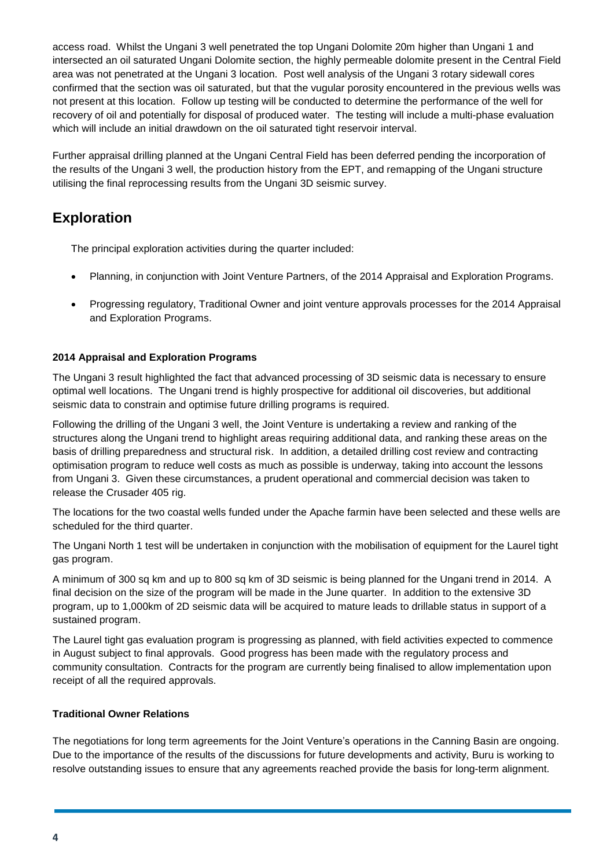access road. Whilst the Ungani 3 well penetrated the top Ungani Dolomite 20m higher than Ungani 1 and intersected an oil saturated Ungani Dolomite section, the highly permeable dolomite present in the Central Field area was not penetrated at the Ungani 3 location. Post well analysis of the Ungani 3 rotary sidewall cores confirmed that the section was oil saturated, but that the vugular porosity encountered in the previous wells was not present at this location. Follow up testing will be conducted to determine the performance of the well for recovery of oil and potentially for disposal of produced water. The testing will include a multi-phase evaluation which will include an initial drawdown on the oil saturated tight reservoir interval.

Further appraisal drilling planned at the Ungani Central Field has been deferred pending the incorporation of the results of the Ungani 3 well, the production history from the EPT, and remapping of the Ungani structure utilising the final reprocessing results from the Ungani 3D seismic survey.

## **Exploration**

The principal exploration activities during the quarter included:

- Planning, in conjunction with Joint Venture Partners, of the 2014 Appraisal and Exploration Programs.
- Progressing regulatory, Traditional Owner and joint venture approvals processes for the 2014 Appraisal and Exploration Programs.

#### **2014 Appraisal and Exploration Programs**

The Ungani 3 result highlighted the fact that advanced processing of 3D seismic data is necessary to ensure optimal well locations. The Ungani trend is highly prospective for additional oil discoveries, but additional seismic data to constrain and optimise future drilling programs is required.

Following the drilling of the Ungani 3 well, the Joint Venture is undertaking a review and ranking of the structures along the Ungani trend to highlight areas requiring additional data, and ranking these areas on the basis of drilling preparedness and structural risk. In addition, a detailed drilling cost review and contracting optimisation program to reduce well costs as much as possible is underway, taking into account the lessons from Ungani 3. Given these circumstances, a prudent operational and commercial decision was taken to release the Crusader 405 rig.

The locations for the two coastal wells funded under the Apache farmin have been selected and these wells are scheduled for the third quarter.

The Ungani North 1 test will be undertaken in conjunction with the mobilisation of equipment for the Laurel tight gas program.

A minimum of 300 sq km and up to 800 sq km of 3D seismic is being planned for the Ungani trend in 2014. A final decision on the size of the program will be made in the June quarter. In addition to the extensive 3D program, up to 1,000km of 2D seismic data will be acquired to mature leads to drillable status in support of a sustained program.

The Laurel tight gas evaluation program is progressing as planned, with field activities expected to commence in August subject to final approvals. Good progress has been made with the regulatory process and community consultation. Contracts for the program are currently being finalised to allow implementation upon receipt of all the required approvals.

#### **Traditional Owner Relations**

The negotiations for long term agreements for the Joint Venture's operations in the Canning Basin are ongoing. Due to the importance of the results of the discussions for future developments and activity, Buru is working to resolve outstanding issues to ensure that any agreements reached provide the basis for long-term alignment.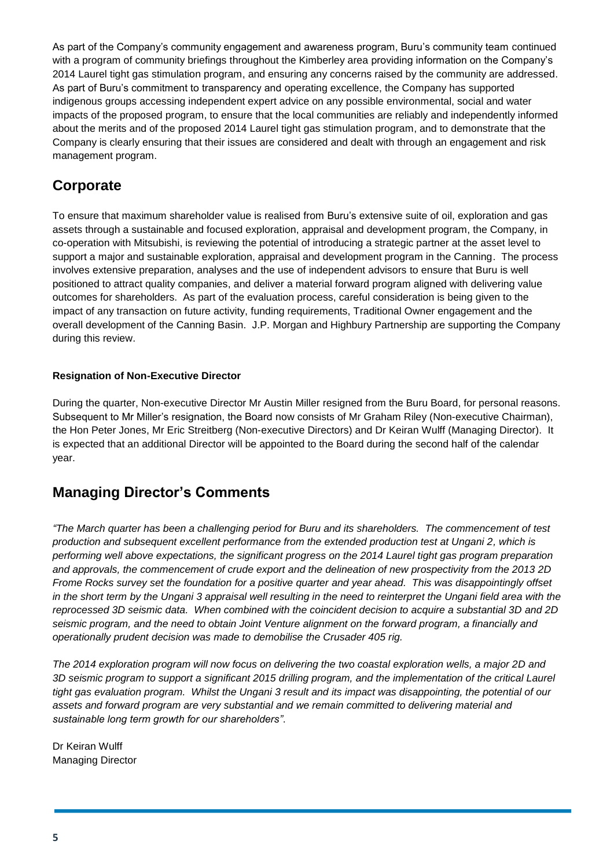As part of the Company's community engagement and awareness program, Buru's community team continued with a program of community briefings throughout the Kimberley area providing information on the Company's 2014 Laurel tight gas stimulation program, and ensuring any concerns raised by the community are addressed. As part of Buru's commitment to transparency and operating excellence, the Company has supported indigenous groups accessing independent expert advice on any possible environmental, social and water impacts of the proposed program, to ensure that the local communities are reliably and independently informed about the merits and of the proposed 2014 Laurel tight gas stimulation program, and to demonstrate that the Company is clearly ensuring that their issues are considered and dealt with through an engagement and risk management program.

## **Corporate**

To ensure that maximum shareholder value is realised from Buru's extensive suite of oil, exploration and gas assets through a sustainable and focused exploration, appraisal and development program, the Company, in co-operation with Mitsubishi, is reviewing the potential of introducing a strategic partner at the asset level to support a major and sustainable exploration, appraisal and development program in the Canning. The process involves extensive preparation, analyses and the use of independent advisors to ensure that Buru is well positioned to attract quality companies, and deliver a material forward program aligned with delivering value outcomes for shareholders. As part of the evaluation process, careful consideration is being given to the impact of any transaction on future activity, funding requirements, Traditional Owner engagement and the overall development of the Canning Basin. J.P. Morgan and Highbury Partnership are supporting the Company during this review.

#### **Resignation of Non-Executive Director**

During the quarter, Non-executive Director Mr Austin Miller resigned from the Buru Board, for personal reasons. Subsequent to Mr Miller's resignation, the Board now consists of Mr Graham Riley (Non-executive Chairman), the Hon Peter Jones, Mr Eric Streitberg (Non-executive Directors) and Dr Keiran Wulff (Managing Director). It is expected that an additional Director will be appointed to the Board during the second half of the calendar year.

## **Managing Director's Comments**

*"The March quarter has been a challenging period for Buru and its shareholders. The commencement of test production and subsequent excellent performance from the extended production test at Ungani 2, which is performing well above expectations, the significant progress on the 2014 Laurel tight gas program preparation and approvals, the commencement of crude export and the delineation of new prospectivity from the 2013 2D Frome Rocks survey set the foundation for a positive quarter and year ahead. This was disappointingly offset*  in the short term by the Ungani 3 appraisal well resulting in the need to reinterpret the Ungani field area with the *reprocessed 3D seismic data. When combined with the coincident decision to acquire a substantial 3D and 2D seismic program, and the need to obtain Joint Venture alignment on the forward program, a financially and operationally prudent decision was made to demobilise the Crusader 405 rig.*

*The 2014 exploration program will now focus on delivering the two coastal exploration wells, a major 2D and 3D seismic program to support a significant 2015 drilling program, and the implementation of the critical Laurel tight gas evaluation program. Whilst the Ungani 3 result and its impact was disappointing, the potential of our assets and forward program are very substantial and we remain committed to delivering material and sustainable long term growth for our shareholders"*.

Dr Keiran Wulff Managing Director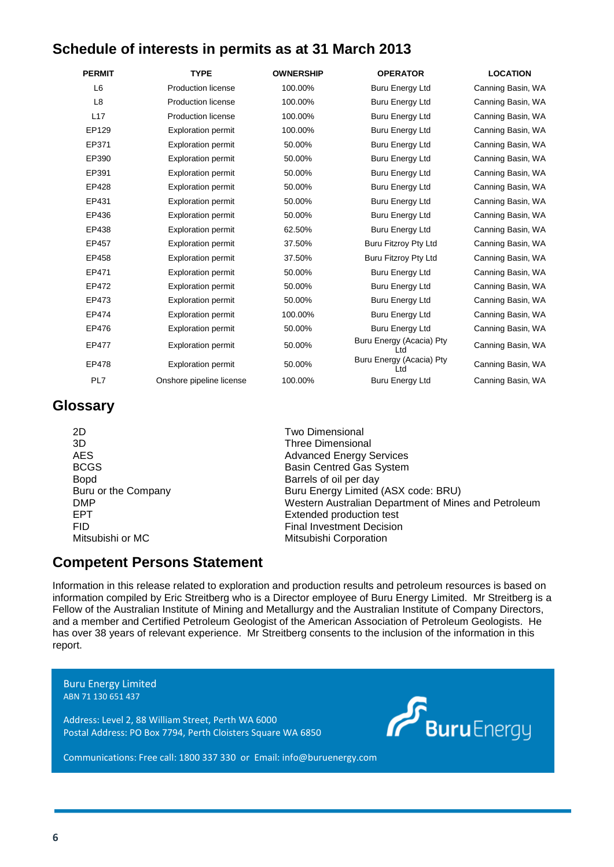## **Schedule of interests in permits as at 31 March 2013**

| <b>PERMIT</b>  | <b>TYPE</b>               | <b>OWNERSHIP</b> | <b>OPERATOR</b>                  | <b>LOCATION</b>   |
|----------------|---------------------------|------------------|----------------------------------|-------------------|
| L <sub>6</sub> | <b>Production license</b> | 100.00%          | <b>Buru Energy Ltd</b>           | Canning Basin, WA |
| L <sub>8</sub> | <b>Production license</b> | 100.00%          | <b>Buru Energy Ltd</b>           | Canning Basin, WA |
| L17            | <b>Production license</b> | 100.00%          | <b>Buru Energy Ltd</b>           | Canning Basin, WA |
| EP129          | <b>Exploration permit</b> | 100.00%          | <b>Buru Energy Ltd</b>           | Canning Basin, WA |
| EP371          | <b>Exploration permit</b> | 50.00%           | <b>Buru Energy Ltd</b>           | Canning Basin, WA |
| EP390          | <b>Exploration permit</b> | 50.00%           | <b>Buru Energy Ltd</b>           | Canning Basin, WA |
| EP391          | <b>Exploration permit</b> | 50.00%           | <b>Buru Energy Ltd</b>           | Canning Basin, WA |
| EP428          | <b>Exploration permit</b> | 50.00%           | <b>Buru Energy Ltd</b>           | Canning Basin, WA |
| EP431          | <b>Exploration permit</b> | 50.00%           | <b>Buru Energy Ltd</b>           | Canning Basin, WA |
| EP436          | <b>Exploration permit</b> | 50.00%           | <b>Buru Energy Ltd</b>           | Canning Basin, WA |
| EP438          | <b>Exploration permit</b> | 62.50%           | <b>Buru Energy Ltd</b>           | Canning Basin, WA |
| EP457          | <b>Exploration permit</b> | 37.50%           | Buru Fitzroy Pty Ltd             | Canning Basin, WA |
| EP458          | <b>Exploration permit</b> | 37.50%           | Buru Fitzroy Pty Ltd             | Canning Basin, WA |
| EP471          | <b>Exploration permit</b> | 50.00%           | <b>Buru Energy Ltd</b>           | Canning Basin, WA |
| EP472          | <b>Exploration permit</b> | 50.00%           | <b>Buru Energy Ltd</b>           | Canning Basin, WA |
| EP473          | <b>Exploration permit</b> | 50.00%           | <b>Buru Energy Ltd</b>           | Canning Basin, WA |
| EP474          | <b>Exploration permit</b> | 100.00%          | <b>Buru Energy Ltd</b>           | Canning Basin, WA |
| EP476          | <b>Exploration permit</b> | 50.00%           | <b>Buru Energy Ltd</b>           | Canning Basin, WA |
| EP477          | <b>Exploration permit</b> | 50.00%           | Buru Energy (Acacia) Pty<br>Ltd  | Canning Basin, WA |
| EP478          | <b>Exploration permit</b> | 50.00%           | Buru Energy (Acacia) Pty<br>l td | Canning Basin, WA |
| PL7            | Onshore pipeline license  | 100.00%          | <b>Buru Energy Ltd</b>           | Canning Basin, WA |

## **Glossary**

2D Two Dimensional 3D Three Dimensional Bopd Barrels of oil per day

AES Advanced Energy Services BCGS Basin Centred Gas System Buru or the Company Buru Energy Limited (ASX code: BRU) DMP **DMP** Western Australian Department of Mines and Petroleum<br>
FRT Fact and Petroleum<br>
Fact and Petroleum<br>
Fact and Petroleum<br>
Taxtended production test Extended production test FID<br>
Final Investment Decision<br>
Mitsubishi Corporation<br>
Mitsubishi Corporation Mitsubishi Corporation

## **Competent Persons Statement**

Information in this release related to exploration and production results and petroleum resources is based on information compiled by Eric Streitberg who is a Director employee of Buru Energy Limited. Mr Streitberg is a Fellow of the Australian Institute of Mining and Metallurgy and the Australian Institute of Company Directors, and a member and Certified Petroleum Geologist of the American Association of Petroleum Geologists. He has over 38 years of relevant experience. Mr Streitberg consents to the inclusion of the information in this report.

Buru Energy Limited ABN 71 130 651 437

Address: Level 2, 88 William Street, Perth WA 6000 Postal Address: PO Box 7794, Perth Cloisters Square WA 6850



Communications: Free call: 1800 337 330 or Email: info@buruenergy.com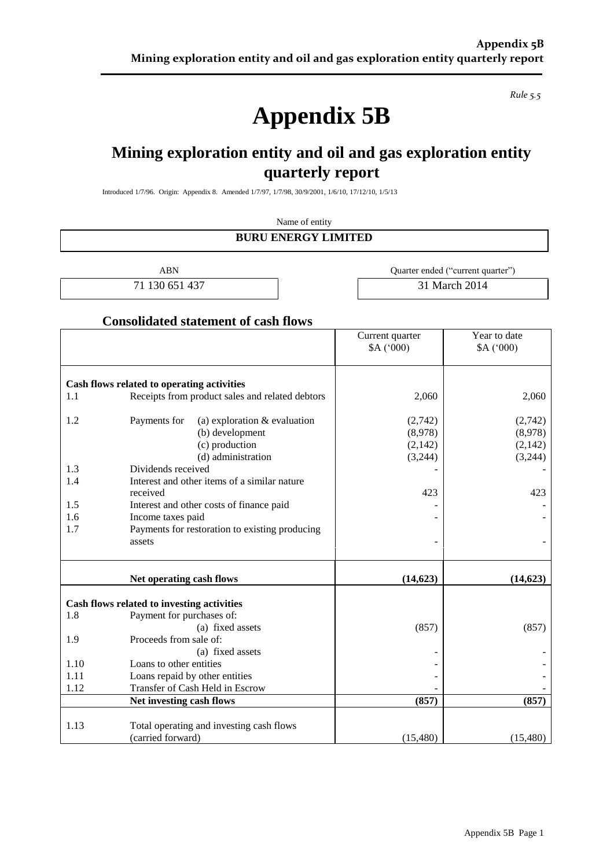*Rule 5.5*

## **Appendix 5B**

## **Mining exploration entity and oil and gas exploration entity quarterly report**

Introduced 1/7/96. Origin: Appendix 8. Amended 1/7/97, 1/7/98, 30/9/2001, 1/6/10, 17/12/10, 1/5/13

#### Name of entity **BURU ENERGY LIMITED**

ABN Quarter ended ("current quarter") 71 130 651 437 **31 March 2014** 

#### **Consolidated statement of cash flows**

|      |                                                 | Current quarter | Year to date |
|------|-------------------------------------------------|-----------------|--------------|
|      |                                                 | A('000)         | A('000)      |
|      | Cash flows related to operating activities      |                 |              |
| 1.1  | Receipts from product sales and related debtors | 2,060           | 2,060        |
| 1.2  | Payments for<br>(a) exploration & evaluation    | (2,742)         | (2,742)      |
|      | (b) development                                 | (8,978)         | (8,978)      |
|      | (c) production                                  | (2,142)         | (2,142)      |
|      | (d) administration                              | (3,244)         | (3,244)      |
| 1.3  | Dividends received                              |                 |              |
| 1.4  | Interest and other items of a similar nature    |                 |              |
|      | received                                        | 423             | 423          |
| 1.5  | Interest and other costs of finance paid        |                 |              |
| 1.6  | Income taxes paid                               |                 |              |
| 1.7  | Payments for restoration to existing producing  |                 |              |
|      | assets                                          |                 |              |
|      | Net operating cash flows                        | (14, 623)       | (14, 623)    |
|      | Cash flows related to investing activities      |                 |              |
| 1.8  | Payment for purchases of:                       |                 |              |
|      | (a) fixed assets                                | (857)           | (857)        |
| 1.9  | Proceeds from sale of:                          |                 |              |
|      | (a) fixed assets                                |                 |              |
| 1.10 | Loans to other entities                         |                 |              |
| 1.11 | Loans repaid by other entities                  |                 |              |
| 1.12 | Transfer of Cash Held in Escrow                 |                 |              |
|      | Net investing cash flows                        | (857)           | (857)        |
| 1.13 | Total operating and investing cash flows        |                 |              |
|      | (carried forward)                               | (15,480)        | (15,480)     |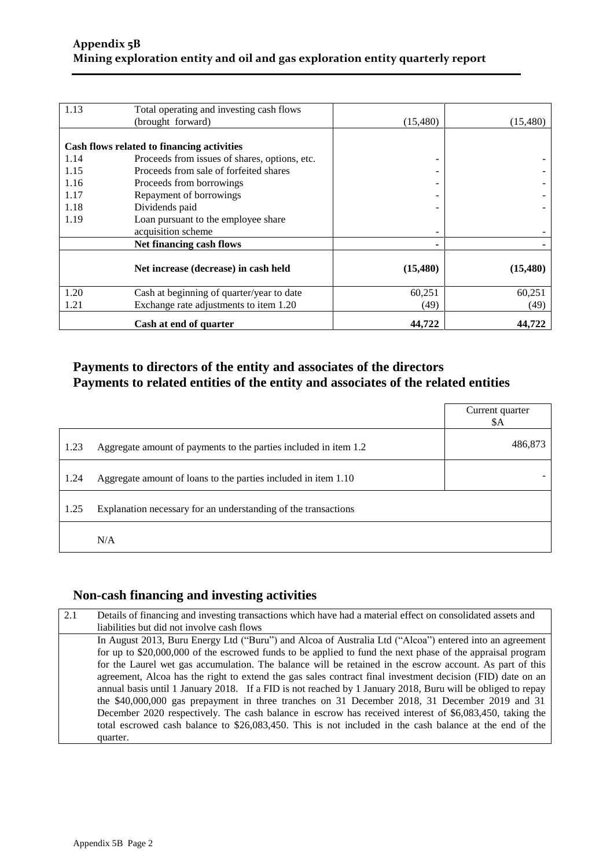| 1.13 | Total operating and investing cash flows<br>(brought forward) | (15, 480) | (15, 480) |
|------|---------------------------------------------------------------|-----------|-----------|
|      |                                                               |           |           |
|      | Cash flows related to financing activities                    |           |           |
| 1.14 | Proceeds from issues of shares, options, etc.                 |           |           |
| 1.15 | Proceeds from sale of forfeited shares                        |           |           |
| 1.16 | Proceeds from borrowings                                      |           |           |
| 1.17 | Repayment of borrowings                                       |           |           |
| 1.18 | Dividends paid                                                |           |           |
| 1.19 | Loan pursuant to the employee share                           |           |           |
|      | acquisition scheme                                            |           |           |
|      | Net financing cash flows                                      |           |           |
|      |                                                               |           |           |
|      | Net increase (decrease) in cash held                          | (15, 480) | (15, 480) |
| 1.20 | Cash at beginning of quarter/year to date                     | 60,251    | 60,251    |
| 1.21 | Exchange rate adjustments to item 1.20                        | (49)      | (49)      |
|      | Cash at end of quarter                                        | 44,722    | 44,722    |

#### **Payments to directors of the entity and associates of the directors Payments to related entities of the entity and associates of the related entities**

|      |                                                                  | Current quarter<br>\$A |
|------|------------------------------------------------------------------|------------------------|
| 1.23 | Aggregate amount of payments to the parties included in item 1.2 | 486,873                |
| 1.24 | Aggregate amount of loans to the parties included in item 1.10   |                        |
| 1.25 | Explanation necessary for an understanding of the transactions   |                        |
|      | N/A                                                              |                        |

#### **Non-cash financing and investing activities**

| liabilities but did not involve cash flows                                                                  |
|-------------------------------------------------------------------------------------------------------------|
|                                                                                                             |
| In August 2013, Buru Energy Ltd ("Buru") and Alcoa of Australia Ltd ("Alcoa") entered into an agreement     |
| for up to \$20,000,000 of the escrowed funds to be applied to fund the next phase of the appraisal program  |
| for the Laurel wet gas accumulation. The balance will be retained in the escrow account. As part of this    |
| agreement, Alcoa has the right to extend the gas sales contract final investment decision (FID) date on an  |
| annual basis until 1 January 2018. If a FID is not reached by 1 January 2018, Buru will be obliged to repay |
| the \$40,000,000 gas prepayment in three tranches on 31 December 2018, 31 December 2019 and 31              |
| December 2020 respectively. The cash balance in escrow has received interest of \$6,083,450, taking the     |
| total escrowed cash balance to \$26,083,450. This is not included in the cash balance at the end of the     |
| quarter.                                                                                                    |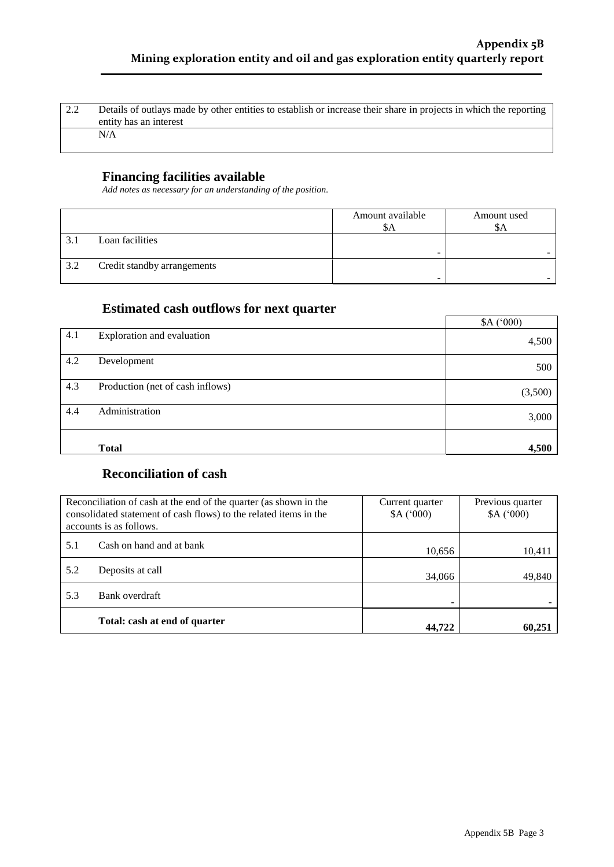| $\sqrt{2.2}$ | Details of outlays made by other entities to establish or increase their share in projects in which the reporting |
|--------------|-------------------------------------------------------------------------------------------------------------------|
|              | entity has an interest                                                                                            |
|              | N/A                                                                                                               |
|              |                                                                                                                   |

#### **Financing facilities available**

*Add notes as necessary for an understanding of the position.*

|     |                             | Amount available<br>ðА | Amount used<br>\$A |
|-----|-----------------------------|------------------------|--------------------|
|     | Loan facilities             | -                      |                    |
| 3.2 | Credit standby arrangements |                        |                    |

#### **Estimated cash outflows for next quarter**

|     |                                  | A('000) |
|-----|----------------------------------|---------|
| 4.1 | Exploration and evaluation       | 4,500   |
| 4.2 | Development                      | 500     |
| 4.3 | Production (net of cash inflows) | (3,500) |
| 4.4 | Administration                   | 3,000   |
|     | <b>Total</b>                     | 4,500   |

## **Reconciliation of cash**

| Reconciliation of cash at the end of the quarter (as shown in the<br>consolidated statement of cash flows) to the related items in the<br>accounts is as follows. |                               | Current quarter<br>A('000) | Previous quarter<br>A('000) |
|-------------------------------------------------------------------------------------------------------------------------------------------------------------------|-------------------------------|----------------------------|-----------------------------|
| 5.1                                                                                                                                                               | Cash on hand and at bank      | 10,656                     | 10,411                      |
| 5.2                                                                                                                                                               | Deposits at call              | 34,066                     | 49,840                      |
| 5.3                                                                                                                                                               | Bank overdraft                |                            |                             |
|                                                                                                                                                                   | Total: cash at end of quarter | 44.722                     | 60,251                      |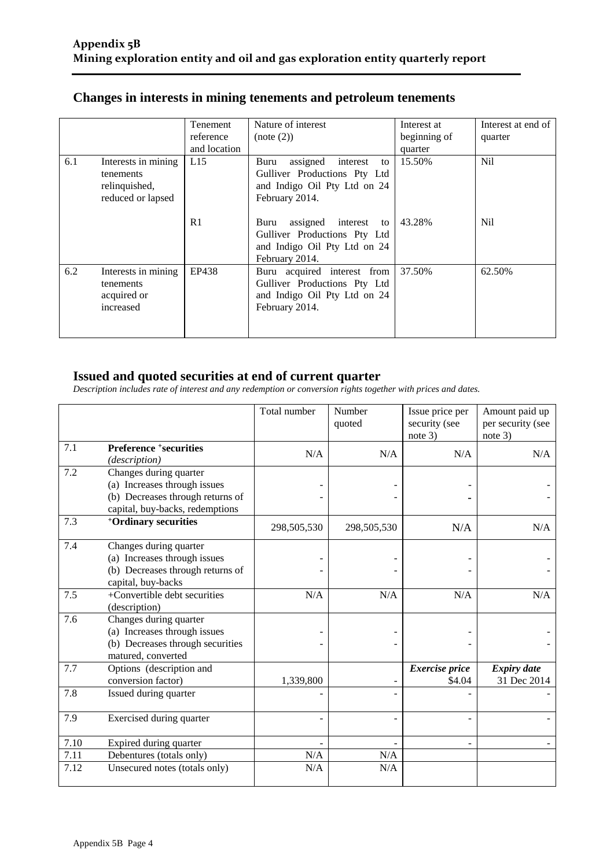|  | Changes in interests in mining tenements and petroleum tenements |  |
|--|------------------------------------------------------------------|--|
|  |                                                                  |  |

|     |                                                                        | Tenement<br>reference<br>and location | Nature of interest<br>(note (2))                                                                                                                                                     | Interest at<br>beginning of | Interest at end of<br>quarter      |
|-----|------------------------------------------------------------------------|---------------------------------------|--------------------------------------------------------------------------------------------------------------------------------------------------------------------------------------|-----------------------------|------------------------------------|
| 6.1 | Interests in mining<br>tenements<br>relinquished,<br>reduced or lapsed | L15<br>R <sub>1</sub>                 | assigned<br>Buru<br>interest<br>to<br>Gulliver Productions Pty Ltd<br>and Indigo Oil Pty Ltd on 24<br>February 2014.<br>assigned interest to<br>Buru<br>Gulliver Productions Pty Ltd | quarter<br>15.50%<br>43.28% | N <sub>il</sub><br>N <sub>il</sub> |
| 6.2 | Interests in mining<br>tenements<br>acquired or<br>increased           | EP438                                 | and Indigo Oil Pty Ltd on 24<br>February 2014.<br>Buru acquired interest from<br>Gulliver Productions Pty Ltd<br>and Indigo Oil Pty Ltd on 24<br>February 2014.                      | 37.50%                      | 62.50%                             |
|     |                                                                        |                                       |                                                                                                                                                                                      |                             |                                    |

#### **Issued and quoted securities at end of current quarter**

*Description includes rate of interest and any redemption or conversion rights together with prices and dates.*

|      |                                                                                                                               | Total number | Number<br>quoted | Issue price per<br>security (see<br>note $3)$ | Amount paid up<br>per security (see<br>note $3)$ |
|------|-------------------------------------------------------------------------------------------------------------------------------|--------------|------------------|-----------------------------------------------|--------------------------------------------------|
| 7.1  | <b>Preference +securities</b><br>(description)                                                                                | N/A          | N/A              | N/A                                           | N/A                                              |
| 7.2  | Changes during quarter<br>(a) Increases through issues<br>(b) Decreases through returns of<br>capital, buy-backs, redemptions |              |                  |                                               |                                                  |
| 7.3  | <sup>+</sup> Ordinary securities                                                                                              | 298,505,530  | 298,505,530      | N/A                                           | N/A                                              |
| 7.4  | Changes during quarter<br>(a) Increases through issues<br>(b) Decreases through returns of<br>capital, buy-backs              |              |                  |                                               |                                                  |
| 7.5  | +Convertible debt securities<br>(description)                                                                                 | N/A          | N/A              | N/A                                           | N/A                                              |
| 7.6  | Changes during quarter<br>(a) Increases through issues<br>(b) Decreases through securities<br>matured, converted              |              |                  |                                               |                                                  |
| 7.7  | Options (description and<br>conversion factor)                                                                                | 1,339,800    |                  | <b>Exercise</b> price<br>\$4.04               | <b>Expiry date</b><br>31 Dec 2014                |
| 7.8  | Issued during quarter                                                                                                         |              |                  |                                               |                                                  |
| 7.9  | Exercised during quarter                                                                                                      |              |                  |                                               |                                                  |
| 7.10 | Expired during quarter                                                                                                        |              |                  |                                               |                                                  |
| 7.11 | Debentures (totals only)                                                                                                      | N/A          | N/A              |                                               |                                                  |
| 7.12 | Unsecured notes (totals only)                                                                                                 | N/A          | N/A              |                                               |                                                  |